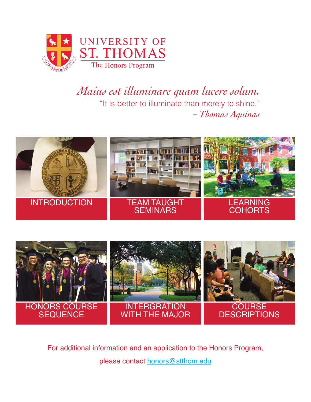<span id="page-0-0"></span>

# *Maius est illuminare quam lucere solum.*  "It is better to illuminate than merely to shine." *– Thomas Aquinas*





For additional information and an application to the Honors Program, please contact honors@stthom.edu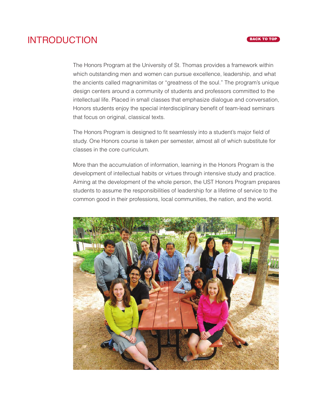### <span id="page-1-0"></span>INTRODUCTION

The Honors Program at the University of St. Thomas provides a framework within which outstanding men and women can pursue excellence, leadership, and what the ancients called magnanimitas or "greatness of the soul." The program's unique design centers around a community of students and professors committed to the intellectual life. Placed in small classes that emphasize dialogue and conversation, Honors students enjoy the special interdisciplinary benefit of team-lead seminars that focus on original, classical texts.

The Honors Program is designed to fit seamlessly into a student's major field of study. One Honors course is taken per semester, almost all of which substitute for classes in the core curriculum.

More than the accumulation of information, learning in the Honors Program is the development of intellectual habits or virtues through intensive study and practice. Aiming at the development of the whole person, the UST Honors Program prepares students to assume the responsibilities of leadership for a lifetime of service to the common good in their professions, local communities, the nation, and the world.

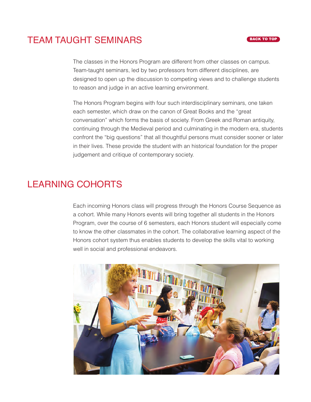# <span id="page-2-0"></span>TEAM TAUGHT SEMINARS

The classes in the Honors Program are different from other classes on campus. Team-taught seminars, led by two professors from different disciplines, are designed to open up the discussion to competing views and to challenge students to reason and judge in an active learning environment.

The Honors Program begins with four such interdisciplinary seminars, one taken each semester, which draw on the canon of Great Books and the "great conversation" which forms the basis of society. From Greek and Roman antiquity, continuing through the Medieval period and culminating in the modern era, students confront the "big questions" that all thoughtful persons must consider sooner or later in their lives. These provide the student with an historical foundation for the proper judgement and critique of contemporary society.

# LEARNING COHORTS

Each incoming Honors class will progress through the Honors Course Sequence as a cohort. While many Honors events will bring together all students in the Honors Program, over the course of 6 semesters, each Honors student will especially come to know the other classmates in the cohort. The collaborative learning aspect of the Honors cohort system thus enables students to develop the skills vital to working well in social and professional endeavors.

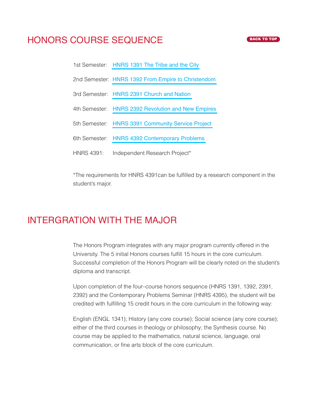## <span id="page-3-0"></span>HONORS COURSE SEQUENCE

- 1st Semester: [HNRS 1391 The Tribe and the City](#page-4-0)
- 2nd Semester: [HNRS 1392 From Empire to Christendom](#page-4-0)
- 3rd Semester: [HNRS 2391 Church and Nation](#page-4-0)
- 4th Semester: [HNRS 2392 Revolution and New Empires](#page-5-0)
- 5th Semester: [HNRS 3391 Community Service Project](#page-5-0)
- 6th Semester: [HNRS 4392 Contemporary Problems](#page-5-0)
- HNRS 4391: Independent Research Project\*

\*The requirements for HNRS 4391can be fulfilled by a research component in the student's major.

### INTERGRATION WITH THE MAJOR

The Honors Program integrates with any major program currently offered in the University. The 5 initial Honors courses fulfill 15 hours in the core curriculum. Successful completion of the Honors Program will be clearly noted on the student's diploma and transcript.

Upon completion of the four–course honors sequence (HNRS 1391, 1392, 2391, 2392) and the Contemporary Problems Seminar (HNRS 4395), the student will be credited with fulfilling 15 credit hours in the core curriculum in the following way:

English (ENGL 1341); History (any core course); Social science (any core course); either of the third courses in theology or philosophy; the Synthesis course. No course may be applied to the mathematics, natural science, language, oral communication, or fine arts block of the core curriculum.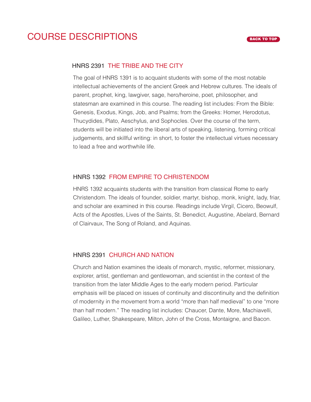## <span id="page-4-0"></span>COURSE DESCRIPTIONS

#### HNRS 2391 THE TRIBE AND THE CITY

The goal of HNRS 1391 is to acquaint students with some of the most notable intellectual achievements of the ancient Greek and Hebrew cultures. The ideals of parent, prophet, king, lawgiver, sage, hero/heroine, poet, philosopher, and statesman are examined in this course. The reading list includes: From the Bible: Genesis, Exodus, Kings, Job, and Psalms; from the Greeks: Homer, Herodotus, Thucydides, Plato, Aeschylus, and Sophocles. Over the course of the term, students will be initiated into the liberal arts of speaking, listening, forming critical judgements, and skillful writing: in short, to foster the intellectual virtues necessary to lead a free and worthwhile life.

#### HNRS 1392 FROM EMPIRE TO CHRISTENDOM

HNRS 1392 acquaints students with the transition from classical Rome to early Christendom. The ideals of founder, soldier, martyr, bishop, monk, knight, lady, friar, and scholar are examined in this course. Readings include Virgil, Cicero, Beowulf, Acts of the Apostles, Lives of the Saints, St. Benedict, Augustine, Abelard, Bernard of Clairvaux, The Song of Roland, and Aquinas.

### HNRS 2391 CHURCH AND NATION

Church and Nation examines the ideals of monarch, mystic, reformer, missionary, explorer, artist, gentleman and gentlewoman, and scientist in the context of the transition from the later Middle Ages to the early modern period. Particular emphasis will be placed on issues of continuity and discontinuity and the definition of modernity in the movement from a world "more than half medieval" to one "more than half modern." The reading list includes: Chaucer, Dante, More, Machiavelli, Galileo, Luther, Shakespeare, Milton, John of the Cross, Montaigne, and Bacon.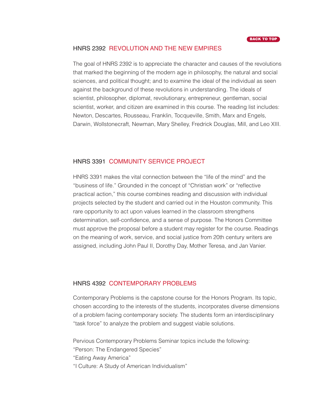### <span id="page-5-0"></span>HNRS 2392 REVOLUTION AND THE NEW EMPIRES

The goal of HNRS 2392 is to appreciate the character and causes of the revolutions that marked the beginning of the modern age in philosophy, the natural and social sciences, and political thought; and to examine the ideal of the individual as seen against the background of these revolutions in understanding. The ideals of scientist, philosopher, diplomat, revolutionary, entrepreneur, gentleman, social scientist, worker, and citizen are examined in this course. The reading list includes: Newton, Descartes, Rousseau, Franklin, Tocqueville, Smith, Marx and Engels, Darwin, Wollstonecraft, Newman, Mary Shelley, Fredrick Douglas, Mill, and Leo XIII.

#### HNRS 3391 COMMUNITY SERVICE PROJECT

HNRS 3391 makes the vital connection between the "life of the mind" and the "business of life." Grounded in the concept of "Christian work" or "reflective practical action," this course combines reading and discussion with individual projects selected by the student and carried out in the Houston community. This rare opportunity to act upon values learned in the classroom strengthens determination, self-confidence, and a sense of purpose. The Honors Committee must approve the proposal before a student may register for the course. Readings on the meaning of work, service, and social justice from 20th century writers are assigned, including John Paul II, Dorothy Day, Mother Teresa, and Jan Vanier.

#### HNRS 4392 CONTEMPORARY PROBLEMS

Contemporary Problems is the capstone course for the Honors Program. Its topic, chosen according to the interests of the students, incorporates diverse dimensions of a problem facing contemporary society. The students form an interdisciplinary "task force" to analyze the problem and suggest viable solutions.

Pervious Contemporary Problems Seminar topics include the following:

"Person: The Endangered Species"

"Eating Away America"

"I Culture: A Study of American Individualism"